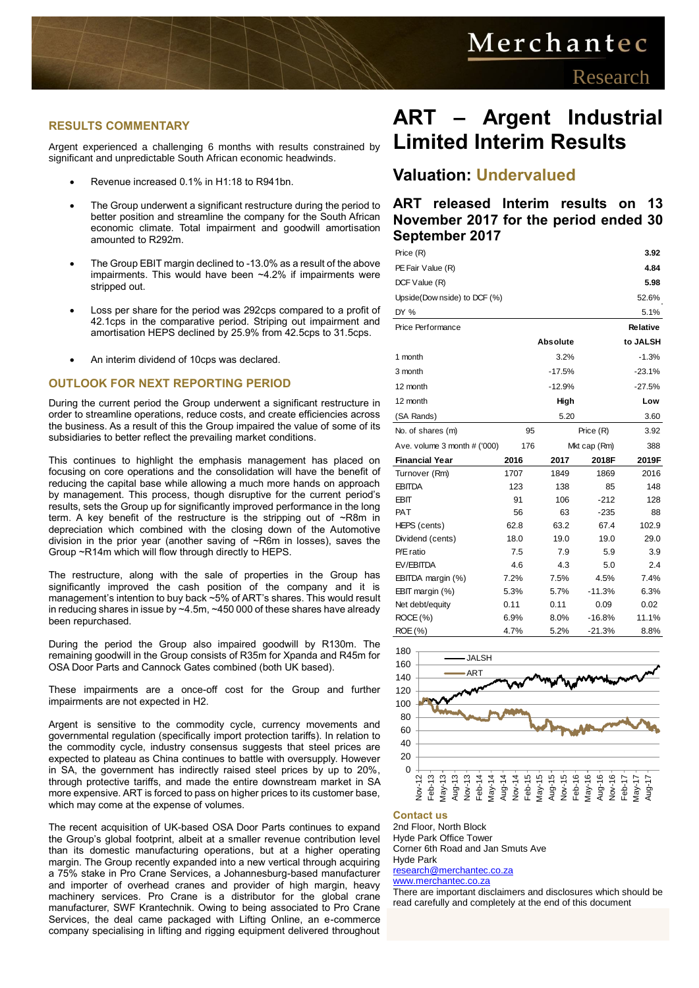# Merchantec

### **RESULTS COMMENTARY**

Argent experienced a challenging 6 months with results constrained by significant and unpredictable South African economic headwinds.

- Revenue increased 0.1% in H1:18 to R941bn.
- The Group underwent a significant restructure during the period to better position and streamline the company for the South African economic climate. Total impairment and goodwill amortisation amounted to R292m.
- The Group EBIT margin declined to -13.0% as a result of the above impairments. This would have been ~4.2% if impairments were stripped out.
- Loss per share for the period was 292cps compared to a profit of 42.1cps in the comparative period. Striping out impairment and amortisation HEPS declined by 25.9% from 42.5cps to 31.5cps.
- An interim dividend of 10cps was declared.

### **OUTLOOK FOR NEXT REPORTING PERIOD**

During the current period the Group underwent a significant restructure in order to streamline operations, reduce costs, and create efficiencies across the business. As a result of this the Group impaired the value of some of its subsidiaries to better reflect the prevailing market conditions.

This continues to highlight the emphasis management has placed on focusing on core operations and the consolidation will have the benefit of reducing the capital base while allowing a much more hands on approach by management. This process, though disruptive for the current period's results, sets the Group up for significantly improved performance in the long term. A key benefit of the restructure is the stripping out of ~R8m in depreciation which combined with the closing down of the Automotive division in the prior year (another saving of ~R6m in losses), saves the Group ~R14m which will flow through directly to HEPS.

The restructure, along with the sale of properties in the Group has significantly improved the cash position of the company and it is management's intention to buy back ~5% of ART's shares. This would result in reducing shares in issue by ~4.5m, ~450 000 of these shares have already been repurchased.

During the period the Group also impaired goodwill by R130m. The remaining goodwill in the Group consists of R35m for Xpanda and R45m for OSA Door Parts and Cannock Gates combined (both UK based).

These impairments are a once-off cost for the Group and further impairments are not expected in H2.

Argent is sensitive to the commodity cycle, currency movements and governmental regulation (specifically import protection tariffs). In relation to the commodity cycle, industry consensus suggests that steel prices are expected to plateau as China continues to battle with oversupply. However in SA, the government has indirectly raised steel prices by up to 20%, through protective tariffs, and made the entire downstream market in SA more expensive. ART is forced to pass on higher prices to its customer base, which may come at the expense of volumes.

The recent acquisition of UK-based OSA Door Parts continues to expand the Group's global footprint, albeit at a smaller revenue contribution level than its domestic manufacturing operations, but at a higher operating margin. The Group recently expanded into a new vertical through acquiring a 75% stake in Pro Crane Services, a Johannesburg-based manufacturer and importer of overhead cranes and provider of high margin, heavy machinery services. Pro Crane is a distributor for the global crane manufacturer, SWF Krantechnik. Owing to being associated to Pro Crane Services, the deal came packaged with Lifting Online, an e-commerce company specialising in lifting and rigging equipment delivered throughout

### **ART – Argent Industrial Limited Interim Results**

### **Valuation: Undervalued**

### **ART released Interim results on 13 November 2017 for the period ended 30 September 2017**

| Price (R)                                                       |                 |                 |              | 3.92            |  |  |
|-----------------------------------------------------------------|-----------------|-----------------|--------------|-----------------|--|--|
| PE Fair Value (R)                                               |                 |                 |              | 4.84            |  |  |
| DCF Value (R)                                                   |                 |                 |              | 5.98            |  |  |
| Upside(Dow nside) to DCF (%)                                    |                 |                 |              | 52.6%           |  |  |
| DY %                                                            |                 |                 |              | 5.1%            |  |  |
| Price Performance                                               |                 |                 |              | <b>Relative</b> |  |  |
|                                                                 |                 | <b>Absolute</b> |              | to JALSH        |  |  |
| 1 month                                                         |                 | 3.2%            |              | $-1.3%$         |  |  |
| 3 month                                                         |                 | $-17.5%$        |              | $-23.1%$        |  |  |
| 12 month                                                        |                 | $-12.9%$        |              | $-27.5%$        |  |  |
| 12 month                                                        |                 | High            |              | Low             |  |  |
| (SA Rands)                                                      |                 | 5.20            |              | 3.60            |  |  |
| No. of shares (m)                                               | Price (R)<br>95 |                 |              | 3.92            |  |  |
| Ave. volume 3 month # ('000)                                    | 176             |                 | Mkt cap (Rm) | 388             |  |  |
|                                                                 |                 | 2017            | 2018F        | 2019F           |  |  |
| <b>Financial Year</b>                                           | 2016<br>1707    | 1849            | 1869         | 2016            |  |  |
| Turnover (Rm)<br><b>EBITDA</b>                                  | 123             | 138             | 85           | 148             |  |  |
| EBIT                                                            | 91              | 106             | $-212$       | 128             |  |  |
| <b>PAT</b>                                                      | 56              | 63              | $-235$       | 88              |  |  |
| HEPS (cents)                                                    | 62.8            | 63.2            | 67.4         | 102.9           |  |  |
| Dividend (cents)                                                | 18.0            | 19.0            | 19.0         | 29.0            |  |  |
| P/E ratio                                                       | 7.5             | 7.9             | 5.9          | 3.9             |  |  |
| EV/EBITDA                                                       | 4.6             | 4.3             | 5.0          | 2.4             |  |  |
| EBITDA margin (%)                                               | 7.2%            | 7.5%            | 4.5%         | 7.4%            |  |  |
| EBIT margin (%)                                                 | 5.3%            | 5.7%            | $-11.3%$     | 6.3%            |  |  |
| Net debt/equity                                                 | 0.11            | 0.11            | 0.09         | 0.02            |  |  |
| ROCE (%)                                                        | 6.9%            | 8.0%            | -16.8%       | 11.1%           |  |  |
| ROE (%)                                                         | 4.7%            | 5.2%            | -21.3%       | 8.8%            |  |  |
|                                                                 |                 |                 |              |                 |  |  |
| 180<br><b>JALSH</b>                                             |                 |                 |              |                 |  |  |
| 160<br>ART                                                      |                 |                 |              |                 |  |  |
| 140                                                             |                 |                 |              |                 |  |  |
| 120<br>100                                                      |                 |                 |              |                 |  |  |
| 80                                                              |                 |                 |              |                 |  |  |
| 60                                                              |                 |                 |              |                 |  |  |
| 40                                                              |                 |                 |              |                 |  |  |
| 20                                                              |                 |                 |              |                 |  |  |
| $\Omega$                                                        |                 |                 |              |                 |  |  |
|                                                                 |                 |                 |              |                 |  |  |
|                                                                 |                 |                 |              |                 |  |  |
|                                                                 |                 |                 |              |                 |  |  |
| <b>Contact us</b><br>2nd Floor, North Block                     |                 |                 |              |                 |  |  |
| <b>Hyde Park Office Tower</b>                                   |                 |                 |              |                 |  |  |
| Corner 6th Road and Jan Smuts Ave                               |                 |                 |              |                 |  |  |
| Hyde Park                                                       |                 |                 |              |                 |  |  |
| research@merchantec.co.za<br>www.merchantec.co.za               |                 |                 |              |                 |  |  |
| There are important disclaimers and disclosures which should be |                 |                 |              |                 |  |  |
| read carefully and completely at the end of this document       |                 |                 |              |                 |  |  |



#### **Contact us**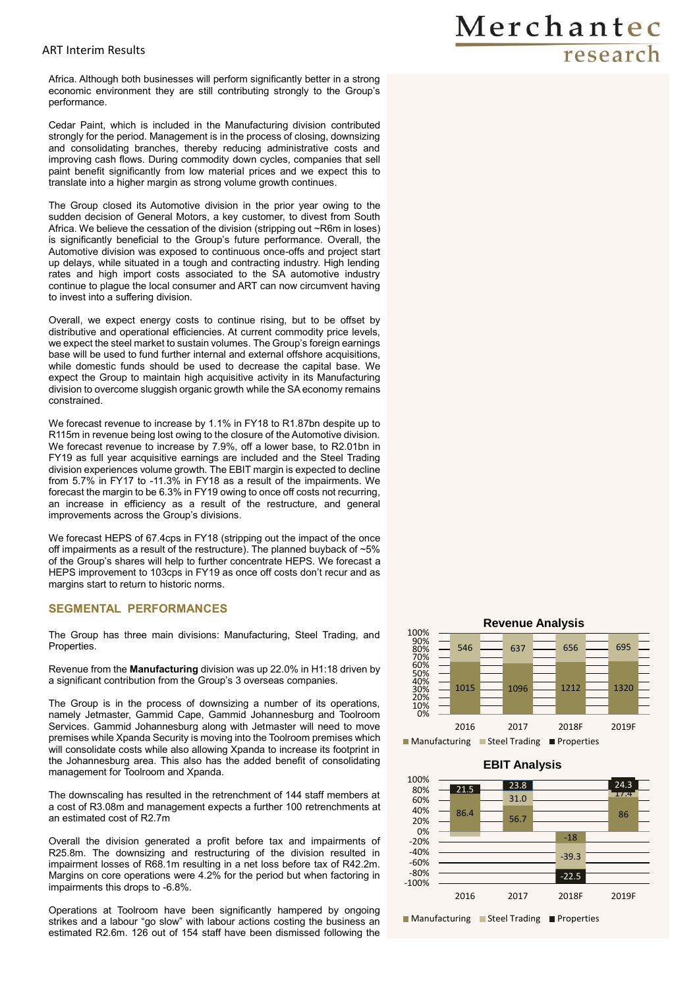### ART Interim Results

Africa. Although both businesses will perform significantly better in a strong economic environment they are still contributing strongly to the Group's performance.

Cedar Paint, which is included in the Manufacturing division contributed strongly for the period. Management is in the process of closing, downsizing and consolidating branches, thereby reducing administrative costs and improving cash flows. During commodity down cycles, companies that sell paint benefit significantly from low material prices and we expect this to translate into a higher margin as strong volume growth continues.

The Group closed its Automotive division in the prior year owing to the sudden decision of General Motors, a key customer, to divest from South Africa. We believe the cessation of the division (stripping out ~R6m in loses) is significantly beneficial to the Group's future performance. Overall, the Automotive division was exposed to continuous once-offs and project start up delays, while situated in a tough and contracting industry. High lending rates and high import costs associated to the SA automotive industry continue to plague the local consumer and ART can now circumvent having to invest into a suffering division.

Overall, we expect energy costs to continue rising, but to be offset by distributive and operational efficiencies. At current commodity price levels, we expect the steel market to sustain volumes. The Group's foreign earnings base will be used to fund further internal and external offshore acquisitions, while domestic funds should be used to decrease the capital base. We expect the Group to maintain high acquisitive activity in its Manufacturing division to overcome sluggish organic growth while the SA economy remains constrained.

We forecast revenue to increase by 1.1% in FY18 to R1.87bn despite up to R115m in revenue being lost owing to the closure of the Automotive division. We forecast revenue to increase by 7.9%, off a lower base, to R2.01bn in FY19 as full year acquisitive earnings are included and the Steel Trading division experiences volume growth. The EBIT margin is expected to decline from 5.7% in FY17 to -11.3% in FY18 as a result of the impairments. We forecast the margin to be 6.3% in FY19 owing to once off costs not recurring, an increase in efficiency as a result of the restructure, and general improvements across the Group's divisions.

We forecast HEPS of 67.4cps in FY18 (stripping out the impact of the once off impairments as a result of the restructure). The planned buyback of ~5% of the Group's shares will help to further concentrate HEPS. We forecast a HEPS improvement to 103cps in FY19 as once off costs don't recur and as margins start to return to historic norms.

### **SEGMENTAL PERFORMANCES**

The Group has three main divisions: Manufacturing, Steel Trading, and Properties.

Revenue from the **Manufacturing** division was up 22.0% in H1:18 driven by a significant contribution from the Group's 3 overseas companies.

The Group is in the process of downsizing a number of its operations, namely Jetmaster, Gammid Cape, Gammid Johannesburg and Toolroom Services. Gammid Johannesburg along with Jetmaster will need to move premises while Xpanda Security is moving into the Toolroom premises which will consolidate costs while also allowing Xpanda to increase its footprint in the Johannesburg area. This also has the added benefit of consolidating management for Toolroom and Xpanda.

The downscaling has resulted in the retrenchment of 144 staff members at a cost of R3.08m and management expects a further 100 retrenchments at an estimated cost of R2.7m

Overall the division generated a profit before tax and impairments of R25.8m. The downsizing and restructuring of the division resulted in impairment losses of R68.1m resulting in a net loss before tax of R42.2m. Margins on core operations were 4.2% for the period but when factoring in impairments this drops to -6.8%.

Operations at Toolroom have been significantly hampered by ongoing strikes and a labour "go slow" with labour actions costing the business an estimated R2.6m. 126 out of 154 staff have been dismissed following the



 $86.4$  56.7 -18 86 31.0 -39.3 21.5 23.8 23.8 24.3 -22.5  $24.3$ -100% -80% -60% -40% -20% 0% 20% 40% 60% 80% 100% 2016 2017 2018F 2019F **EBIT Analysis** ■ Manufacturing ■ Steel Trading ■ Properties

## Merchantec research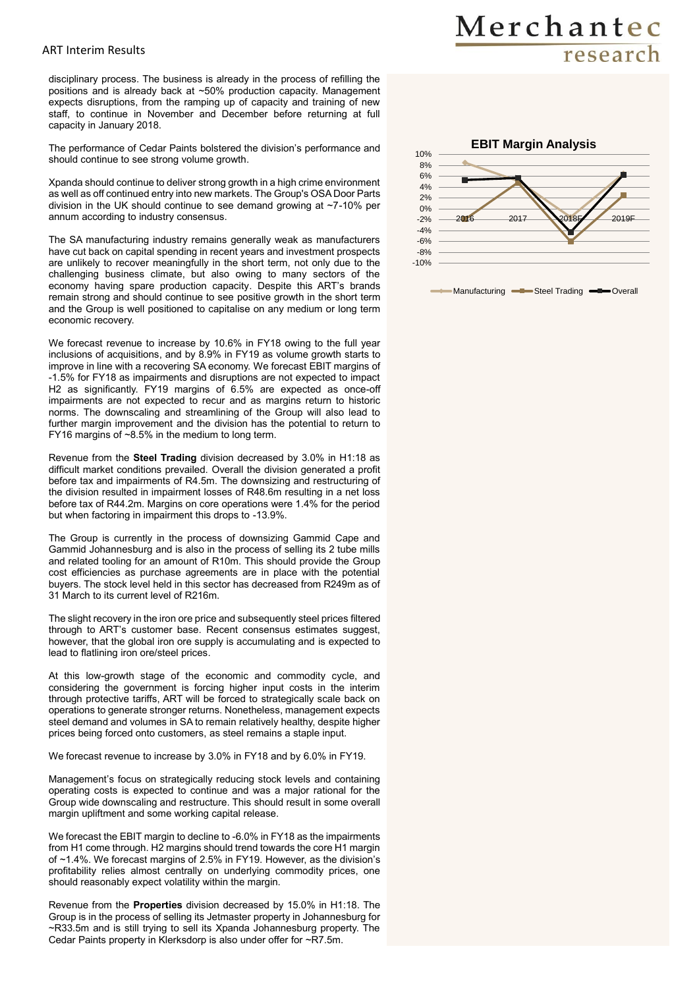### ART Interim Results

disciplinary process. The business is already in the process of refilling the positions and is already back at ~50% production capacity. Management expects disruptions, from the ramping up of capacity and training of new staff, to continue in November and December before returning at full capacity in January 2018.

The performance of Cedar Paints bolstered the division's performance and should continue to see strong volume growth.

Xpanda should continue to deliver strong growth in a high crime environment as well as off continued entry into new markets. The Group's OSA Door Parts division in the UK should continue to see demand growing at ~7-10% per annum according to industry consensus.

The SA manufacturing industry remains generally weak as manufacturers have cut back on capital spending in recent years and investment prospects are unlikely to recover meaningfully in the short term, not only due to the challenging business climate, but also owing to many sectors of the economy having spare production capacity. Despite this ART's brands remain strong and should continue to see positive growth in the short term and the Group is well positioned to capitalise on any medium or long term economic recovery.

We forecast revenue to increase by 10.6% in FY18 owing to the full year inclusions of acquisitions, and by 8.9% in FY19 as volume growth starts to improve in line with a recovering SA economy. We forecast EBIT margins of -1.5% for FY18 as impairments and disruptions are not expected to impact H2 as significantly. FY19 margins of 6.5% are expected as once-off impairments are not expected to recur and as margins return to historic norms. The downscaling and streamlining of the Group will also lead to further margin improvement and the division has the potential to return to FY16 margins of ~8.5% in the medium to long term.

Revenue from the **Steel Trading** division decreased by 3.0% in H1:18 as difficult market conditions prevailed. Overall the division generated a profit before tax and impairments of R4.5m. The downsizing and restructuring of the division resulted in impairment losses of R48.6m resulting in a net loss before tax of R44.2m. Margins on core operations were 1.4% for the period but when factoring in impairment this drops to -13.9%.

The Group is currently in the process of downsizing Gammid Cape and Gammid Johannesburg and is also in the process of selling its 2 tube mills and related tooling for an amount of R10m. This should provide the Group cost efficiencies as purchase agreements are in place with the potential buyers. The stock level held in this sector has decreased from R249m as of 31 March to its current level of R216m.

The slight recovery in the iron ore price and subsequently steel prices filtered through to ART's customer base. Recent consensus estimates suggest, however, that the global iron ore supply is accumulating and is expected to lead to flatlining iron ore/steel prices.

At this low-growth stage of the economic and commodity cycle, and considering the government is forcing higher input costs in the interim through protective tariffs, ART will be forced to strategically scale back on operations to generate stronger returns. Nonetheless, management expects steel demand and volumes in SA to remain relatively healthy, despite higher prices being forced onto customers, as steel remains a staple input.

We forecast revenue to increase by 3.0% in FY18 and by 6.0% in FY19.

Management's focus on strategically reducing stock levels and containing operating costs is expected to continue and was a major rational for the Group wide downscaling and restructure. This should result in some overall margin upliftment and some working capital release.

We forecast the EBIT margin to decline to -6.0% in FY18 as the impairments from H1 come through. H2 margins should trend towards the core H1 margin of ~1.4%. We forecast margins of 2.5% in FY19. However, as the division's profitability relies almost centrally on underlying commodity prices, one should reasonably expect volatility within the margin.

Revenue from the **Properties** division decreased by 15.0% in H1:18. The Group is in the process of selling its Jetmaster property in Johannesburg for ~R33.5m and is still trying to sell its Xpanda Johannesburg property. The Cedar Paints property in Klerksdorp is also under offer for ~R7.5m.



Manufacturing -B-Steel Trading -D-Overall

## Merchantec research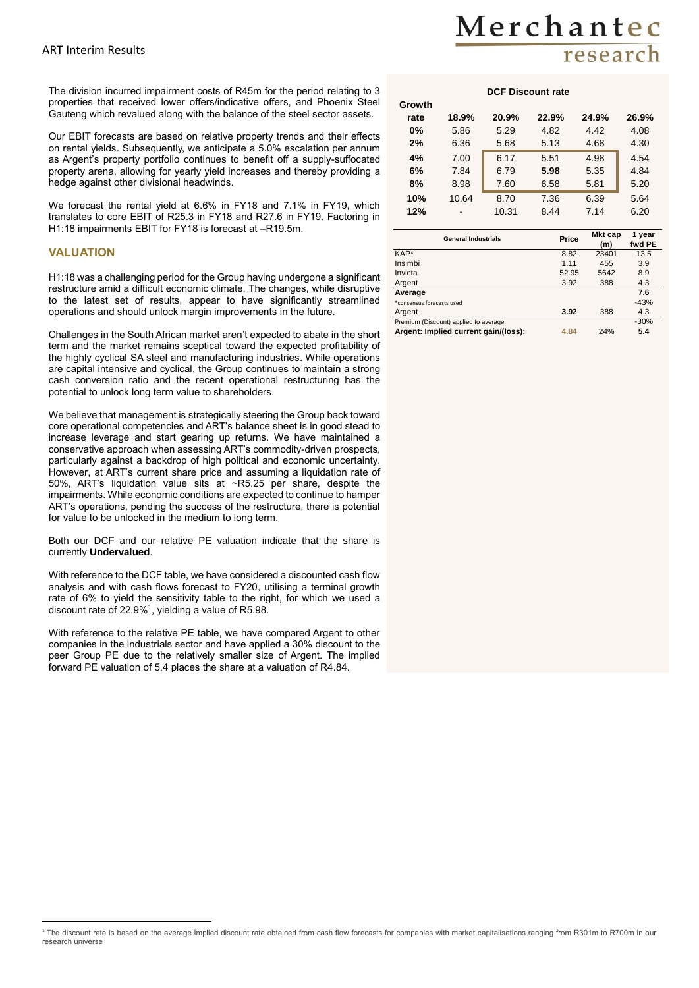The division incurred impairment costs of R45m for the period relating to 3 properties that received lower offers/indicative offers, and Phoenix Steel Gauteng which revalued along with the balance of the steel sector assets.

Our EBIT forecasts are based on relative property trends and their effects on rental yields. Subsequently, we anticipate a 5.0% escalation per annum as Argent's property portfolio continues to benefit off a supply-suffocated property arena, allowing for yearly yield increases and thereby providing a hedge against other divisional headwinds.

We forecast the rental yield at 6.6% in FY18 and 7.1% in FY19, which translates to core EBIT of R25.3 in FY18 and R27.6 in FY19. Factoring in H1:18 impairments EBIT for FY18 is forecast at –R19.5m.

#### **VALUATION**

H1:18 was a challenging period for the Group having undergone a significant restructure amid a difficult economic climate. The changes, while disruptive to the latest set of results, appear to have significantly streamlined operations and should unlock margin improvements in the future.

Challenges in the South African market aren't expected to abate in the short term and the market remains sceptical toward the expected profitability of the highly cyclical SA steel and manufacturing industries. While operations are capital intensive and cyclical, the Group continues to maintain a strong cash conversion ratio and the recent operational restructuring has the potential to unlock long term value to shareholders.

We believe that management is strategically steering the Group back toward core operational competencies and ART's balance sheet is in good stead to increase leverage and start gearing up returns. We have maintained a conservative approach when assessing ART's commodity-driven prospects, particularly against a backdrop of high political and economic uncertainty. However, at ART's current share price and assuming a liquidation rate of 50%, ART's liquidation value sits at ~R5.25 per share, despite the impairments. While economic conditions are expected to continue to hamper ART's operations, pending the success of the restructure, there is potential for value to be unlocked in the medium to long term.

Both our DCF and our relative PE valuation indicate that the share is currently **Undervalued**.

With reference to the DCF table, we have considered a discounted cash flow analysis and with cash flows forecast to FY20, utilising a terminal growth rate of 6% to yield the sensitivity table to the right, for which we used a discount rate of 22.9%<sup>1</sup>, yielding a value of R5.98.

With reference to the relative PE table, we have compared Argent to other companies in the industrials sector and have applied a 30% discount to the peer Group PE due to the relatively smaller size of Argent. The implied forward PE valuation of 5.4 places the share at a valuation of R4.84.

## Merchantec research

#### **DCF Discount rate**

| Growth |       |       |       |       |       |
|--------|-------|-------|-------|-------|-------|
| rate   | 18.9% | 20.9% | 22.9% | 24.9% | 26.9% |
| 0%     | 5.86  | 5.29  | 4.82  | 4.42  | 4.08  |
| 2%     | 6.36  | 5.68  | 5.13  | 4.68  | 4.30  |
| 4%     | 7.00  | 6.17  | 5.51  | 4.98  | 4.54  |
| 6%     | 7.84  | 6.79  | 5.98  | 5.35  | 4.84  |
| 8%     | 8.98  | 7.60  | 6.58  | 5.81  | 5.20  |
| 10%    | 10.64 | 8.70  | 7.36  | 6.39  | 5.64  |
| 12%    | -     | 10.31 | 8.44  | 7.14  | 6.20  |

| <b>General Industrials</b>             | Price | Mkt cap<br>(m) | 1 year<br>fwd PE |
|----------------------------------------|-------|----------------|------------------|
| KAP*                                   | 8.82  | 23401          | 13.5             |
| Insimbi                                | 1.11  | 455            | 3.9              |
| Invicta                                | 52.95 | 5642           | 8.9              |
| Argent                                 | 3.92  | 388            | 4.3              |
| Average                                |       |                | 7.6              |
| *consensus forecasts used              |       |                | $-43%$           |
| Argent                                 | 3.92  | 388            | 4.3              |
| Premium (Discount) applied to average: |       |                | $-30%$           |
| Argent: Implied current gain/(loss):   | 4.84  | 24%            | 5.4              |

 $\overline{a}$ <sup>1</sup> The discount rate is based on the average implied discount rate obtained from cash flow forecasts for companies with market capitalisations ranging from R301m to R700m in our research universe